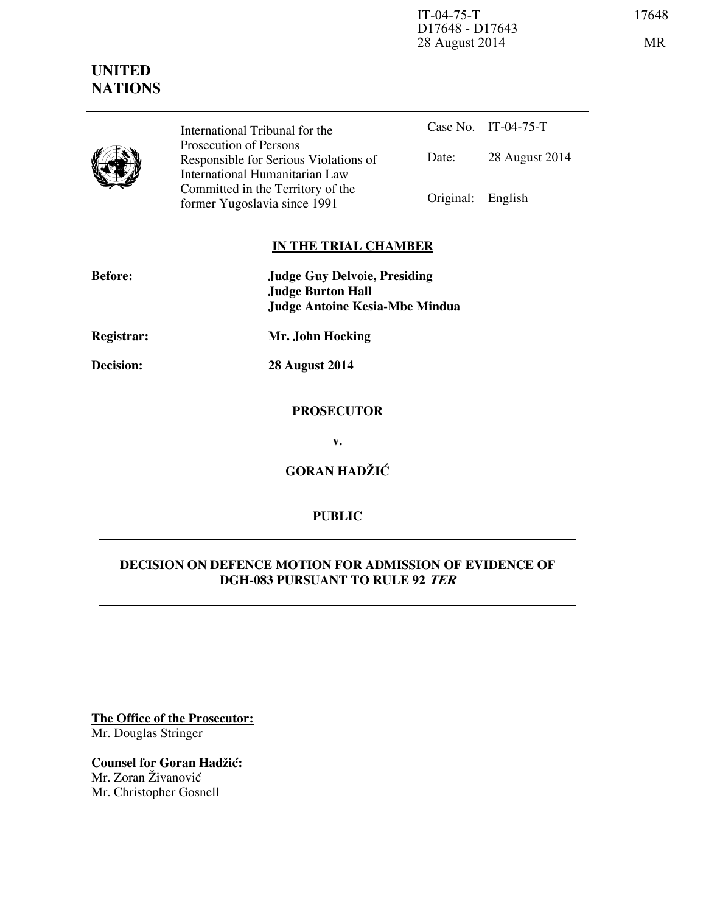IT-04-75-T 17648 D17648 - D17643 28 August 2014 MR

# **UNITED NATIONS**



International Tribunal for the Prosecution of Persons Responsible for Serious Violations of International Humanitarian Law Committed in the Territory of the Former Yugoslavia since 1991 Original: English

Case No. IT-04-75-T Date: 28 August 2014

## **IN THE TRIAL CHAMBER**

| <b>Before:</b> | <b>Judge Guy Delvoie, Presiding</b><br><b>Judge Burton Hall</b><br><b>Judge Antoine Kesia-Mbe Mindua</b> |
|----------------|----------------------------------------------------------------------------------------------------------|
| Registrar:     | Mr. John Hocking                                                                                         |
| Decision:      | <b>28 August 2014</b>                                                                                    |
|                | <b>PROSECUTOR</b>                                                                                        |
|                | v.                                                                                                       |

**GORAN HADŽIĆ** 

# **PUBLIC**

## **DECISION ON DEFENCE MOTION FOR ADMISSION OF EVIDENCE OF DGH-083 PURSUANT TO RULE 92 TER**

**The Office of the Prosecutor:** Mr. Douglas Stringer

**Counsel for Goran Hadžić:** Mr. Zoran Živanović Mr. Christopher Gosnell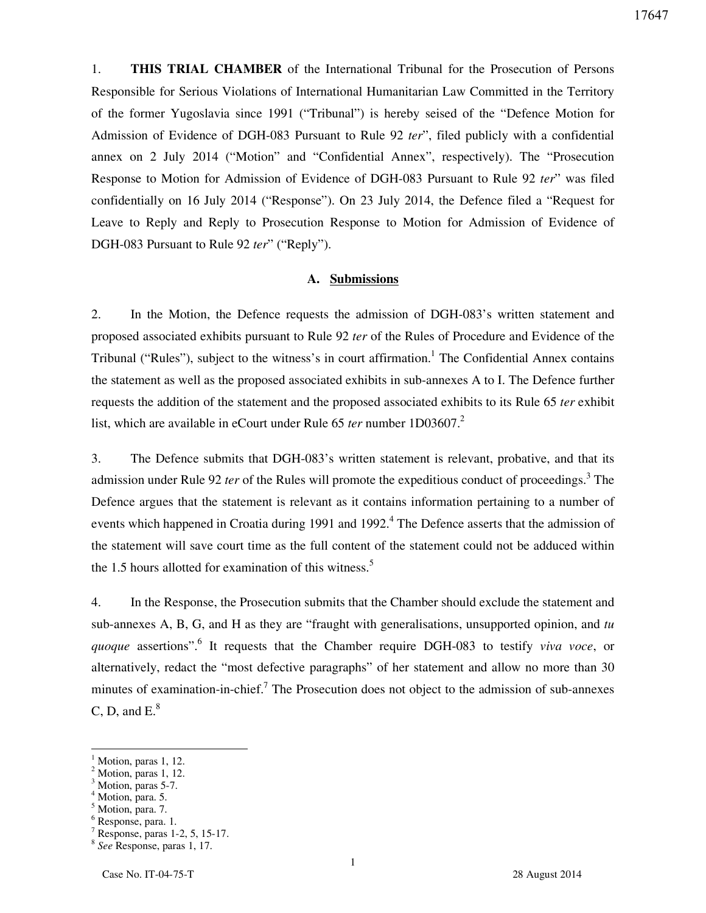1. **THIS TRIAL CHAMBER** of the International Tribunal for the Prosecution of Persons Responsible for Serious Violations of International Humanitarian Law Committed in the Territory of the former Yugoslavia since 1991 ("Tribunal") is hereby seised of the "Defence Motion for Admission of Evidence of DGH-083 Pursuant to Rule 92 *ter*", filed publicly with a confidential annex on 2 July 2014 ("Motion" and "Confidential Annex", respectively). The "Prosecution Response to Motion for Admission of Evidence of DGH-083 Pursuant to Rule 92 *ter*" was filed confidentially on 16 July 2014 ("Response"). On 23 July 2014, the Defence filed a "Request for Leave to Reply and Reply to Prosecution Response to Motion for Admission of Evidence of DGH-083 Pursuant to Rule 92 *ter*" ("Reply").

#### **A. Submissions**

2. In the Motion, the Defence requests the admission of DGH-083's written statement and proposed associated exhibits pursuant to Rule 92 *ter* of the Rules of Procedure and Evidence of the Tribunal ("Rules"), subject to the witness's in court affirmation.<sup>1</sup> The Confidential Annex contains the statement as well as the proposed associated exhibits in sub-annexes A to I. The Defence further requests the addition of the statement and the proposed associated exhibits to its Rule 65 *ter* exhibit list, which are available in eCourt under Rule 65 *ter* number 1D03607.<sup>2</sup>

3. The Defence submits that DGH-083's written statement is relevant, probative, and that its admission under Rule 92 *ter* of the Rules will promote the expeditious conduct of proceedings. 3 The Defence argues that the statement is relevant as it contains information pertaining to a number of events which happened in Croatia during 1991 and 1992.<sup>4</sup> The Defence asserts that the admission of the statement will save court time as the full content of the statement could not be adduced within the 1.5 hours allotted for examination of this witness.<sup>5</sup>

4. In the Response, the Prosecution submits that the Chamber should exclude the statement and sub-annexes A, B, G, and H as they are "fraught with generalisations, unsupported opinion, and *tu*  quoque assertions".<sup>6</sup> It requests that the Chamber require DGH-083 to testify *viva voce*, or alternatively, redact the "most defective paragraphs" of her statement and allow no more than 30 minutes of examination-in-chief.<sup>7</sup> The Prosecution does not object to the admission of sub-annexes C, D, and  $E^8$ .

 $\overline{a}$ 

 $<sup>1</sup>$  Motion, paras 1, 12.</sup>

 $<sup>2</sup>$  Motion, paras 1, 12.</sup>

<sup>&</sup>lt;sup>3</sup> Motion, paras 5-7.

<sup>4</sup> Motion, para. 5.

<sup>&</sup>lt;sup>5</sup> Motion, para. 7.

<sup>6</sup> Response, para. 1.

<sup>7</sup> Response, paras 1-2, 5, 15-17.

<sup>8</sup> *See* Response, paras 1, 17.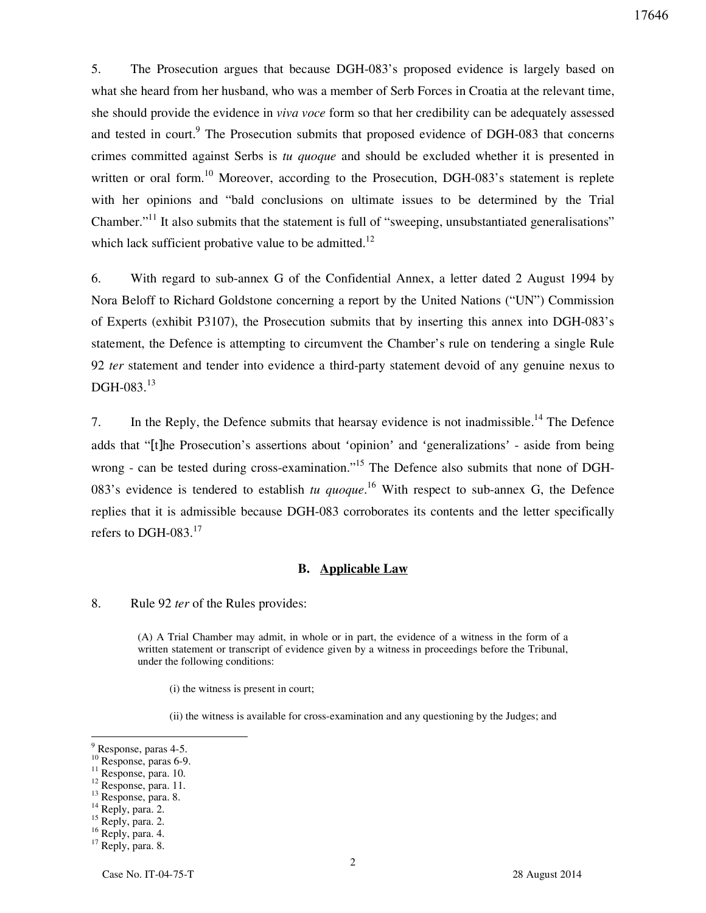5. The Prosecution argues that because DGH-083's proposed evidence is largely based on what she heard from her husband, who was a member of Serb Forces in Croatia at the relevant time, she should provide the evidence in *viva voce* form so that her credibility can be adequately assessed and tested in court.<sup>9</sup> The Prosecution submits that proposed evidence of DGH-083 that concerns crimes committed against Serbs is *tu quoque* and should be excluded whether it is presented in written or oral form.<sup>10</sup> Moreover, according to the Prosecution, DGH-083's statement is replete with her opinions and "bald conclusions on ultimate issues to be determined by the Trial Chamber."<sup>11</sup> It also submits that the statement is full of "sweeping, unsubstantiated generalisations" which lack sufficient probative value to be admitted.<sup>12</sup>

6. With regard to sub-annex G of the Confidential Annex, a letter dated 2 August 1994 by Nora Beloff to Richard Goldstone concerning a report by the United Nations ("UN") Commission of Experts (exhibit P3107), the Prosecution submits that by inserting this annex into DGH-083's statement, the Defence is attempting to circumvent the Chamber's rule on tendering a single Rule 92 *ter* statement and tender into evidence a third-party statement devoid of any genuine nexus to  $\mathrm{DGH}\text{-}083.^{13}$ 

7. In the Reply, the Defence submits that hearsay evidence is not inadmissible.<sup>14</sup> The Defence adds that "[t]he Prosecution's assertions about 'opinion' and 'generalizations' - aside from being wrong - can be tested during cross-examination."<sup>15</sup> The Defence also submits that none of DGH-083's evidence is tendered to establish *tu quoque*. <sup>16</sup> With respect to sub-annex G, the Defence replies that it is admissible because DGH-083 corroborates its contents and the letter specifically refers to DGH-083. $^{17}$ 

#### **B. Applicable Law**

8. Rule 92 *ter* of the Rules provides:

(A) A Trial Chamber may admit, in whole or in part, the evidence of a witness in the form of a written statement or transcript of evidence given by a witness in proceedings before the Tribunal, under the following conditions:

(i) the witness is present in court;

(ii) the witness is available for cross-examination and any questioning by the Judges; and

- <sup>10</sup> Response, paras 6-9.
- <sup>11</sup> Response, para. 10.

<sup>14</sup> Reply, para. 2.

 $16$  Reply, para. 4.

 $9^9$  Response, paras 4-5.

<sup>&</sup>lt;sup>12</sup> Response, para. 11.

<sup>&</sup>lt;sup>13</sup> Response, para. 8.

 $15$  Reply, para. 2.

<sup>&</sup>lt;sup>17</sup> Reply, para. 8.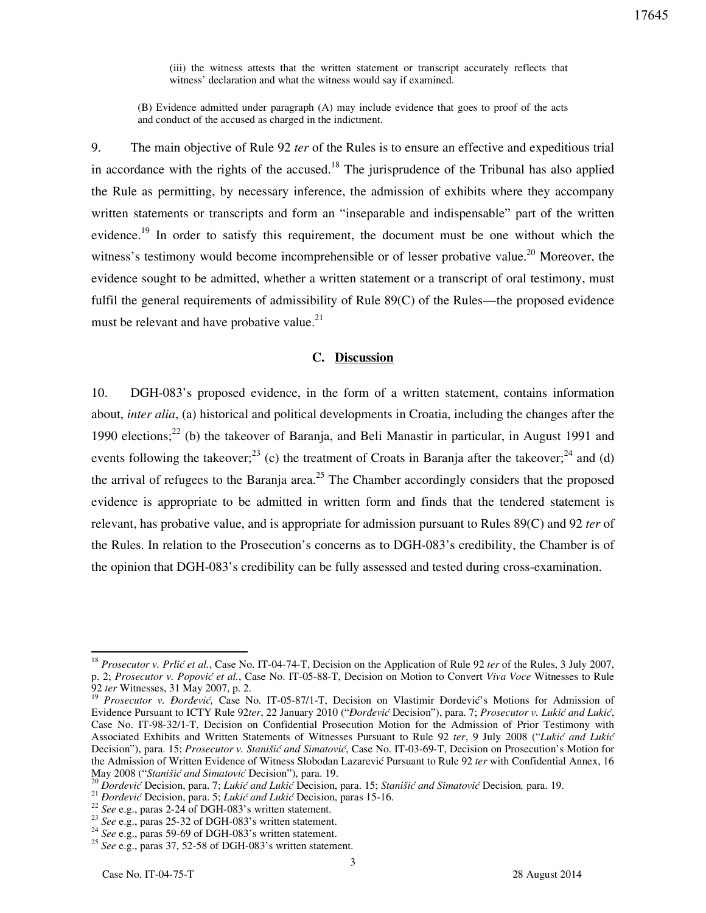(iii) the witness attests that the written statement or transcript accurately reflects that witness' declaration and what the witness would say if examined.

(B) Evidence admitted under paragraph (A) may include evidence that goes to proof of the acts and conduct of the accused as charged in the indictment.

9. The main objective of Rule 92 *ter* of the Rules is to ensure an effective and expeditious trial in accordance with the rights of the accused.<sup>18</sup> The jurisprudence of the Tribunal has also applied the Rule as permitting, by necessary inference, the admission of exhibits where they accompany written statements or transcripts and form an "inseparable and indispensable" part of the written evidence.<sup>19</sup> In order to satisfy this requirement, the document must be one without which the witness's testimony would become incomprehensible or of lesser probative value.<sup>20</sup> Moreover, the evidence sought to be admitted, whether a written statement or a transcript of oral testimony, must fulfil the general requirements of admissibility of Rule 89(C) of the Rules—the proposed evidence must be relevant and have probative value.<sup>21</sup>

### **C. Discussion**

10. DGH-083's proposed evidence, in the form of a written statement, contains information about, *inter alia*, (a) historical and political developments in Croatia, including the changes after the 1990 elections;<sup>22</sup> (b) the takeover of Baranja, and Beli Manastir in particular, in August 1991 and events following the takeover;<sup>23</sup> (c) the treatment of Croats in Baranja after the takeover;<sup>24</sup> and (d) the arrival of refugees to the Baranja area.<sup>25</sup> The Chamber accordingly considers that the proposed evidence is appropriate to be admitted in written form and finds that the tendered statement is relevant, has probative value, and is appropriate for admission pursuant to Rules 89(C) and 92 *ter* of the Rules. In relation to the Prosecution's concerns as to DGH-083's credibility, the Chamber is of the opinion that DGH-083's credibility can be fully assessed and tested during cross-examination.

 $\overline{a}$ 

<sup>&</sup>lt;sup>18</sup> Prosecutor v. Prlić et al., Case No. IT-04-74-T, Decision on the Application of Rule 92 *ter* of the Rules, 3 July 2007, p. 2; *Prosecutor v. Popović et al.*, Case No. IT-05-88-T, Decision on Motion to Convert *Viva Voce* Witnesses to Rule 92 *ter* Witnesses, 31 May 2007, p. 2.

<sup>&</sup>lt;sup>19</sup> Prosecutor v. Đorđević, Case No. IT-05-87/1-T, Decision on Vlastimir Đorđević's Motions for Admission of Evidence Pursuant to ICTY Rule 92ter, 22 January 2010 ("*Đorđević* Decision"), para. 7; Prosecutor v. Lukić and Lukić, Case No. IT-98-32/1-T, Decision on Confidential Prosecution Motion for the Admission of Prior Testimony with Associated Exhibits and Written Statements of Witnesses Pursuant to Rule 92 ter, 9 July 2008 ("Lukić and Lukić Decision"), para. 15; *Prosecutor v. Stanišić and Simatović*, Case No. IT-03-69-T, Decision on Prosecution's Motion for the Admission of Written Evidence of Witness Slobodan Lazarević Pursuant to Rule 92 *ter* with Confidential Annex, 16 May 2008 ("Stanišić and Simatović Decision"), para. 19.

<sup>&</sup>lt;sup>20</sup> Dorđević Decision, para. 7; *Lukić and Lukić* Decision, para. 15; *Stanišić and Simatović* Decision, para. 19.

<sup>&</sup>lt;sup>21</sup> *Dorđević* Decision, para. 5; *Lukić and Lukić* Decision, paras 15-16.

<sup>22</sup> *See* e.g., paras 2-24 of DGH-083's written statement.

<sup>&</sup>lt;sup>23</sup> *See* e.g., paras 25-32 of DGH-083's written statement.

<sup>&</sup>lt;sup>24</sup> *See* e.g., paras 59-69 of DGH-083's written statement.

<sup>25</sup> *See* e.g., paras 37, 52-58 of DGH-083's written statement.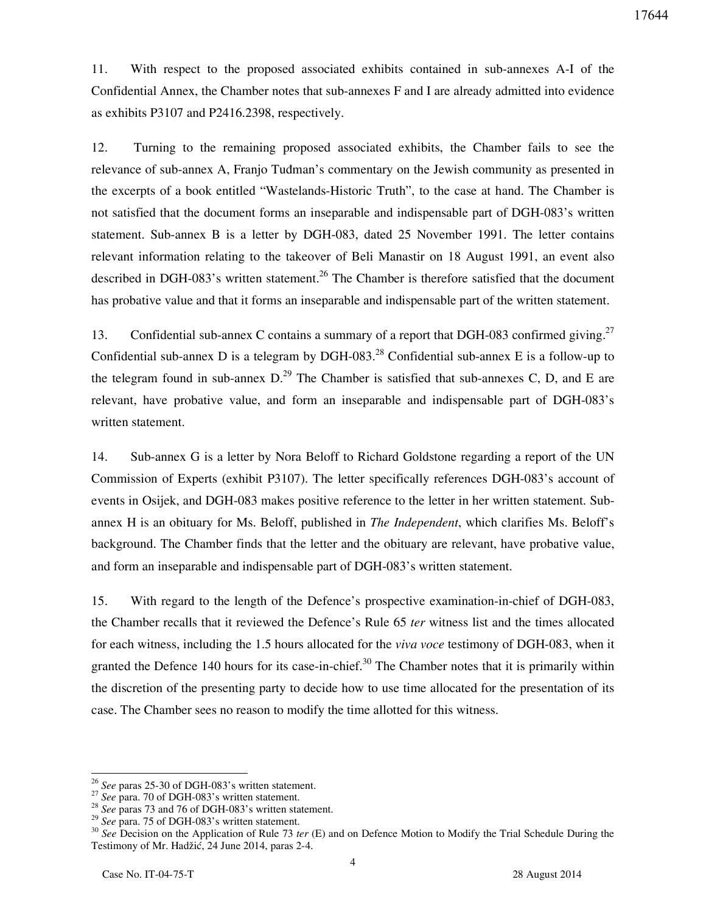11. With respect to the proposed associated exhibits contained in sub-annexes A-I of the Confidential Annex, the Chamber notes that sub-annexes F and I are already admitted into evidence as exhibits P3107 and P2416.2398, respectively.

12. Turning to the remaining proposed associated exhibits, the Chamber fails to see the relevance of sub-annex A, Franjo Tudman's commentary on the Jewish community as presented in the excerpts of a book entitled "Wastelands-Historic Truth", to the case at hand. The Chamber is not satisfied that the document forms an inseparable and indispensable part of DGH-083's written statement. Sub-annex B is a letter by DGH-083, dated 25 November 1991. The letter contains relevant information relating to the takeover of Beli Manastir on 18 August 1991, an event also described in DGH-083's written statement.<sup>26</sup> The Chamber is therefore satisfied that the document has probative value and that it forms an inseparable and indispensable part of the written statement.

13. Confidential sub-annex C contains a summary of a report that DGH-083 confirmed giving.<sup>27</sup> Confidential sub-annex D is a telegram by DGH-083.<sup>28</sup> Confidential sub-annex E is a follow-up to the telegram found in sub-annex  $D^{29}$ . The Chamber is satisfied that sub-annexes C, D, and E are relevant, have probative value, and form an inseparable and indispensable part of DGH-083's written statement.

14. Sub-annex G is a letter by Nora Beloff to Richard Goldstone regarding a report of the UN Commission of Experts (exhibit P3107). The letter specifically references DGH-083's account of events in Osijek, and DGH-083 makes positive reference to the letter in her written statement. Subannex H is an obituary for Ms. Beloff, published in *The Independent*, which clarifies Ms. Beloff's background. The Chamber finds that the letter and the obituary are relevant, have probative value, and form an inseparable and indispensable part of DGH-083's written statement.

15. With regard to the length of the Defence's prospective examination-in-chief of DGH-083, the Chamber recalls that it reviewed the Defence's Rule 65 *ter* witness list and the times allocated for each witness, including the 1.5 hours allocated for the *viva voce* testimony of DGH-083, when it granted the Defence 140 hours for its case-in-chief.<sup>30</sup> The Chamber notes that it is primarily within the discretion of the presenting party to decide how to use time allocated for the presentation of its case. The Chamber sees no reason to modify the time allotted for this witness.

 $\overline{a}$ 

<sup>26</sup> *See* paras 25-30 of DGH-083's written statement.

<sup>&</sup>lt;sup>27</sup> *See* para. 70 of DGH-083's written statement.

<sup>&</sup>lt;sup>28</sup> *See* paras 73 and 76 of DGH-083's written statement.

<sup>&</sup>lt;sup>29</sup> *See* para. 75 of DGH-083's written statement.

<sup>30</sup> *See* Decision on the Application of Rule 73 *ter* (E) and on Defence Motion to Modify the Trial Schedule During the Testimony of Mr. Hadžić, 24 June 2014, paras 2-4.